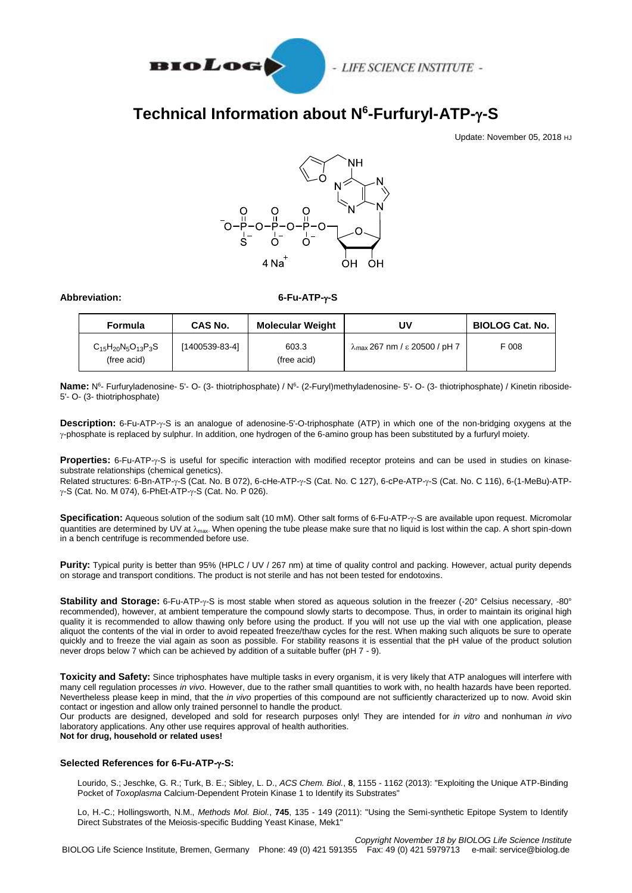

- LIFE SCIENCE INSTITUTE -

## **Technical Information about N 6 -Furfuryl-ATP--S**

Update: November 05, 2018 HJ



**Abbreviation: 6-Fu-ATP--S**

| <b>Formula</b>                             | <b>CAS No.</b> | <b>Molecular Weight</b> | UV                                             | <b>BIOLOG Cat. No.</b> |
|--------------------------------------------|----------------|-------------------------|------------------------------------------------|------------------------|
| $C_{15}H_{20}N_5O_{13}P_3S$<br>(free acid) | [1400539-83-4] | 603.3<br>(free acid)    | $\lambda_{\text{max}}$ 267 nm / ε 20500 / pH 7 | F 008                  |

Name: N<sup>6</sup>- Furfuryladenosine- 5'- O- (3- thiotriphosphate) / N<sup>6</sup>- (2-Furyl)methyladenosine- 5'- O- (3- thiotriphosphate) / Kinetin riboside-5'- O- (3- thiotriphosphate)

**Description:** 6-Fu-ATP- $\gamma$ -S is an analogue of adenosine-5'-O-triphosphate (ATP) in which one of the non-bridging oxygens at the  $\gamma$ -phosphate is replaced by sulphur. In addition, one hydrogen of the 6-amino group has been substituted by a furfuryl moiety.

**Properties:** 6-Fu-ATP-y-S is useful for specific interaction with modified receptor proteins and can be used in studies on kinasesubstrate relationships (chemical genetics).

Related structures: 6-Bn-ATP-y-S (Cat. No. B 072), 6-cHe-ATP-y-S (Cat. No. C 127), 6-cPe-ATP-y-S (Cat. No. C 116), 6-(1-MeBu)-ATP- $\gamma$ -S (Cat. No. M 074), 6-PhEt-ATP- $\gamma$ -S (Cat. No. P 026).

**Specification:** Aqueous solution of the sodium salt (10 mM). Other salt forms of 6-Fu-ATP- $\gamma$ -S are available upon request. Micromolar quantities are determined by UV at  $\lambda_{\text{max}}$ . When opening the tube please make sure that no liquid is lost within the cap. A short spin-down in a bench centrifuge is recommended before use.

**Purity:** Typical purity is better than 95% (HPLC / UV / 267 nm) at time of quality control and packing. However, actual purity depends on storage and transport conditions. The product is not sterile and has not been tested for endotoxins.

**Stability and Storage:** 6-Fu-ATP- $\gamma$ -S is most stable when stored as aqueous solution in the freezer (-20° Celsius necessary, -80° recommended), however, at ambient temperature the compound slowly starts to decompose. Thus, in order to maintain its original high quality it is recommended to allow thawing only before using the product. If you will not use up the vial with one application, please aliquot the contents of the vial in order to avoid repeated freeze/thaw cycles for the rest. When making such aliquots be sure to operate quickly and to freeze the vial again as soon as possible. For stability reasons it is essential that the pH value of the product solution never drops below 7 which can be achieved by addition of a suitable buffer (pH 7 - 9).

**Toxicity and Safety:** Since triphosphates have multiple tasks in every organism, it is very likely that ATP analogues will interfere with many cell regulation processes *in vivo*. However, due to the rather small quantities to work with, no health hazards have been reported. Nevertheless please keep in mind, that the *in vivo* properties of this compound are not sufficiently characterized up to now. Avoid skin contact or ingestion and allow only trained personnel to handle the product.

Our products are designed, developed and sold for research purposes only! They are intended for *in vitro* and nonhuman *in vivo*  laboratory applications. Any other use requires approval of health authorities.

**Not for drug, household or related uses!**

## **Selected References for 6-Fu-ATP--S:**

Lourido, S.; Jeschke, G. R.; Turk, B. E.; Sibley, L. D., *ACS Chem. Biol.*, **8**, 1155 - 1162 (2013): "Exploiting the Unique ATP-Binding Pocket of *Toxoplasma* Calcium-Dependent Protein Kinase 1 to Identify its Substrates"

Lo, H.-C.; Hollingsworth, N.M., *Methods Mol. Biol.*, **745**, 135 - 149 (2011): "Using the Semi-synthetic Epitope System to Identify Direct Substrates of the Meiosis-specific Budding Yeast Kinase, Mek1"

*Copyright November 18 by BIOLOG Life Science Institute* BIOLOG Life Science Institute, Bremen, Germany Phone: 49 (0) 421 591355 Fax: 49 (0) 421 5979713 e-mail: service@biolog.de